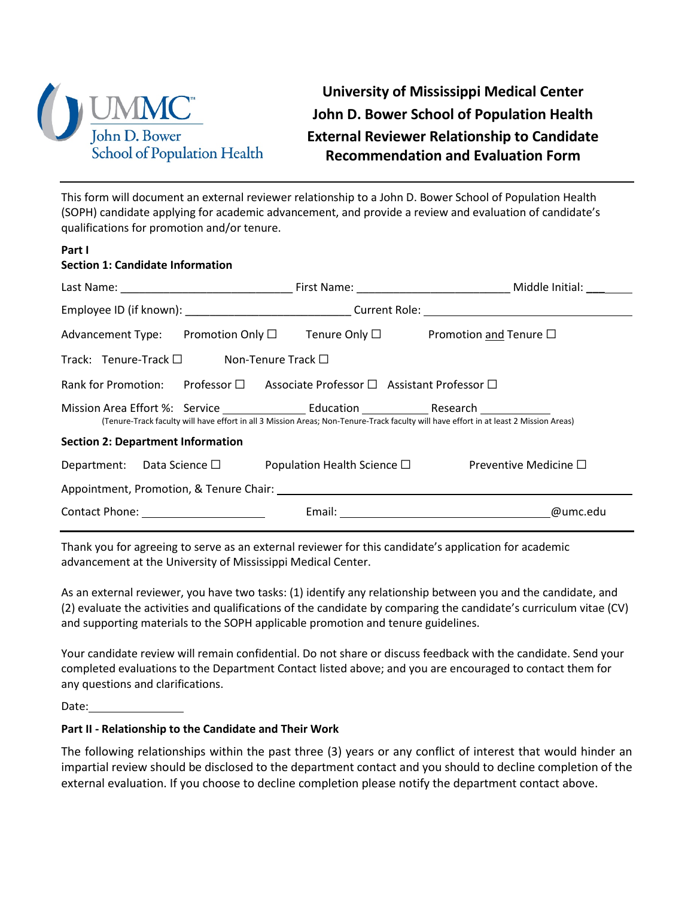

**University of Mississippi Medical Center John D. Bower School of Population Health External Reviewer Relationship to Candidate Recommendation and Evaluation Form**

This form will document an external reviewer relationship to a John D. Bower School of Population Health (SOPH) candidate applying for academic advancement, and provide a review and evaluation of candidate's qualifications for promotion and/or tenure.

| <b>Section 1: Candidate Information</b>                                                                                               |  |          |  |
|---------------------------------------------------------------------------------------------------------------------------------------|--|----------|--|
|                                                                                                                                       |  |          |  |
| Employee ID (if known): _______________________________Current Role: _______________________________                                  |  |          |  |
| Advancement Type: Promotion Only $\square$ Tenure Only $\square$ Promotion and Tenure $\square$                                       |  |          |  |
| Track: Tenure-Track $\square$ Non-Tenure Track $\square$                                                                              |  |          |  |
| Rank for Promotion: Professor □ Associate Professor □ Assistant Professor □                                                           |  |          |  |
| (Tenure-Track faculty will have effort in all 3 Mission Areas; Non-Tenure-Track faculty will have effort in at least 2 Mission Areas) |  |          |  |
| <b>Section 2: Department Information</b>                                                                                              |  |          |  |
| Department: Data Science $\square$ Population Health Science $\square$ Preventive Medicine $\square$                                  |  |          |  |
|                                                                                                                                       |  |          |  |
| Contact Phone: The Contact Phone:                                                                                                     |  | @umc.edu |  |

Thank you for agreeing to serve as an external reviewer for this candidate's application for academic advancement at the University of Mississippi Medical Center.

As an external reviewer, you have two tasks: (1) identify any relationship between you and the candidate, and (2) evaluate the activities and qualifications of the candidate by comparing the candidate's curriculum vitae (CV) and supporting materials to the SOPH applicable promotion and tenure guidelines.

Your candidate review will remain confidential. Do not share or discuss feedback with the candidate. Send your completed evaluations to the Department Contact listed above; and you are encouraged to contact them for any questions and clarifications.

Date:

**Part I**

## **Part II - Relationship to the Candidate and Their Work**

The following relationships within the past three (3) years or any conflict of interest that would hinder an impartial review should be disclosed to the department contact and you should to decline completion of the external evaluation. If you choose to decline completion please notify the department contact above.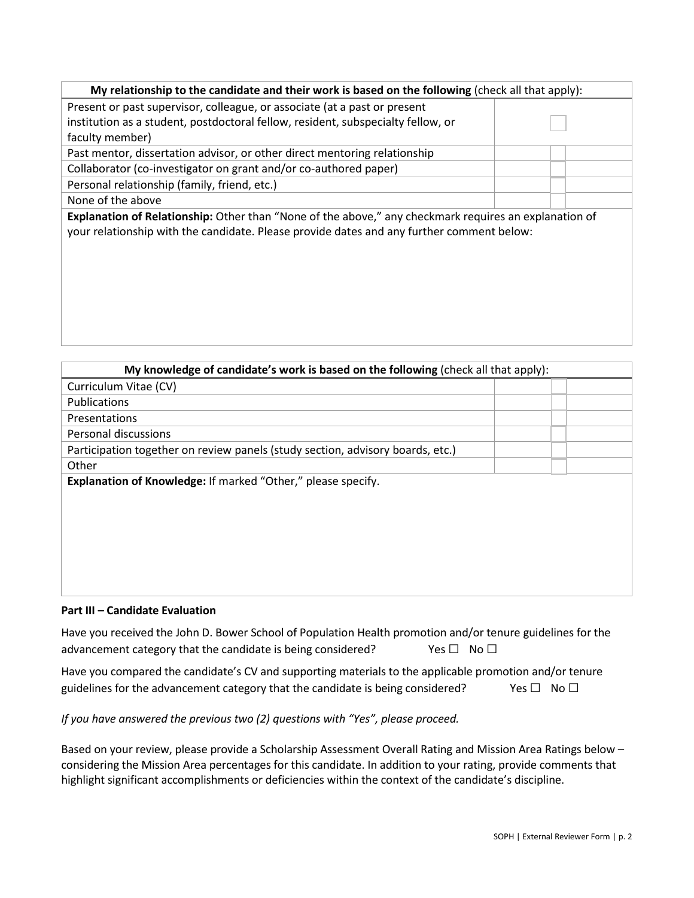| My relationship to the candidate and their work is based on the following (check all that apply):     |  |  |  |
|-------------------------------------------------------------------------------------------------------|--|--|--|
| Present or past supervisor, colleague, or associate (at a past or present                             |  |  |  |
| institution as a student, postdoctoral fellow, resident, subspecialty fellow, or                      |  |  |  |
| faculty member)                                                                                       |  |  |  |
| Past mentor, dissertation advisor, or other direct mentoring relationship                             |  |  |  |
| Collaborator (co-investigator on grant and/or co-authored paper)                                      |  |  |  |
| Personal relationship (family, friend, etc.)                                                          |  |  |  |
| None of the above                                                                                     |  |  |  |
| Explanation of Relationship: Other than "None of the above," any checkmark requires an explanation of |  |  |  |
| your relationship with the candidate. Please provide dates and any further comment below:             |  |  |  |
|                                                                                                       |  |  |  |
|                                                                                                       |  |  |  |
|                                                                                                       |  |  |  |

| My knowledge of candidate's work is based on the following (check all that apply): |  |  |  |
|------------------------------------------------------------------------------------|--|--|--|
| Curriculum Vitae (CV)                                                              |  |  |  |
| Publications                                                                       |  |  |  |
| Presentations                                                                      |  |  |  |
| Personal discussions                                                               |  |  |  |
| Participation together on review panels (study section, advisory boards, etc.)     |  |  |  |
| Other                                                                              |  |  |  |
| Explanation of Knowledge: If marked "Other," please specify.                       |  |  |  |
|                                                                                    |  |  |  |
|                                                                                    |  |  |  |
|                                                                                    |  |  |  |
|                                                                                    |  |  |  |
|                                                                                    |  |  |  |
|                                                                                    |  |  |  |
|                                                                                    |  |  |  |

## **Part III – Candidate Evaluation**

Have you received the John D. Bower School of Population Health promotion and/or tenure guidelines for the advancement category that the candidate is being considered?  $Y$ es  $\square$  No  $\square$ 

Have you compared the candidate's CV and supporting materials to the applicable promotion and/or tenure guidelines for the advancement category that the candidate is being considered? Yes  $\Box$  No  $\Box$ 

## *If you have answered the previous two (2) questions with "Yes", please proceed.*

Based on your review, please provide a Scholarship Assessment Overall Rating and Mission Area Ratings below – considering the Mission Area percentages for this candidate. In addition to your rating, provide comments that highlight significant accomplishments or deficiencies within the context of the candidate's discipline.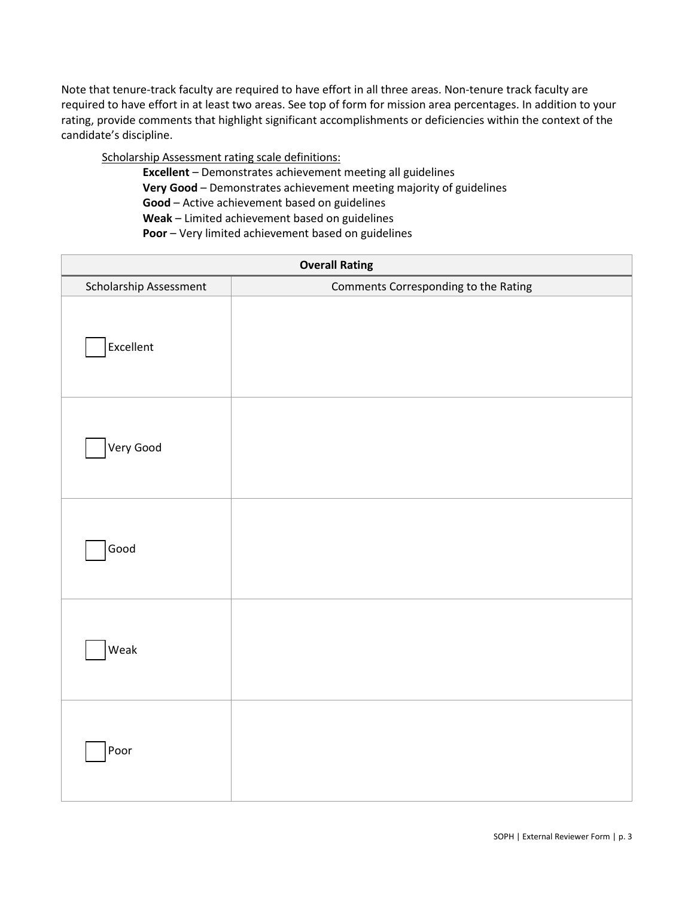Note that tenure-track faculty are required to have effort in all three areas. Non-tenure track faculty are required to have effort in at least two areas. See top of form for mission area percentages. In addition to your rating, provide comments that highlight significant accomplishments or deficiencies within the context of the candidate's discipline.

Scholarship Assessment rating scale definitions:

**Excellent** – Demonstrates achievement meeting all guidelines **Very Good** – Demonstrates achievement meeting majority of guidelines **Good** – Active achievement based on guidelines **Weak** – Limited achievement based on guidelines **Poor** – Very limited achievement based on guidelines

| <b>Overall Rating</b>  |                                      |  |
|------------------------|--------------------------------------|--|
| Scholarship Assessment | Comments Corresponding to the Rating |  |
| Excellent              |                                      |  |
| Very Good              |                                      |  |
| Good                   |                                      |  |
| Weak                   |                                      |  |
| Poor                   |                                      |  |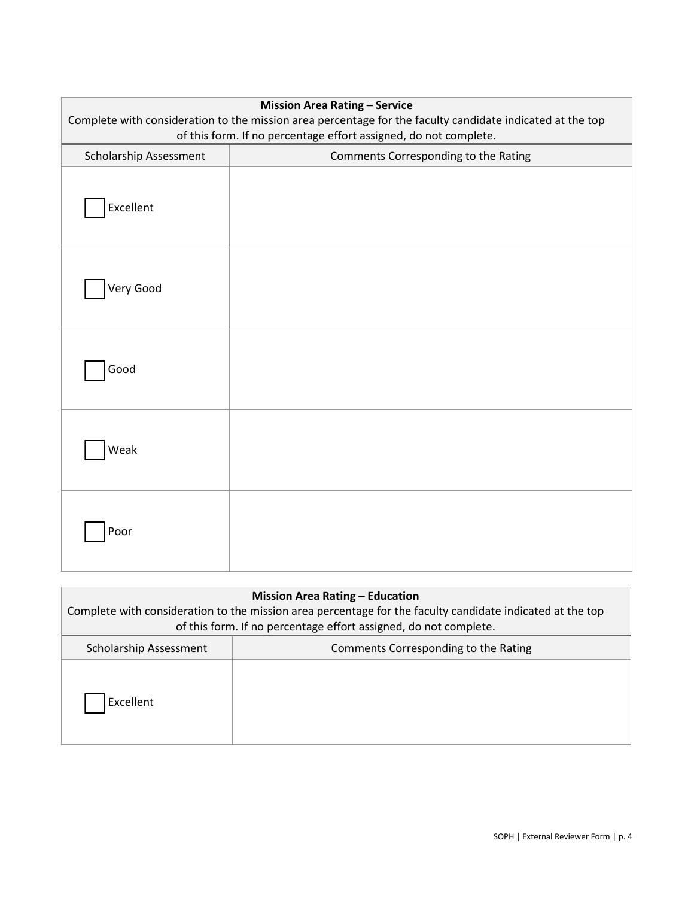| <b>Mission Area Rating - Service</b><br>Complete with consideration to the mission area percentage for the faculty candidate indicated at the top<br>of this form. If no percentage effort assigned, do not complete. |                                      |  |
|-----------------------------------------------------------------------------------------------------------------------------------------------------------------------------------------------------------------------|--------------------------------------|--|
| Scholarship Assessment                                                                                                                                                                                                | Comments Corresponding to the Rating |  |
| Excellent                                                                                                                                                                                                             |                                      |  |
| Very Good                                                                                                                                                                                                             |                                      |  |
| Good                                                                                                                                                                                                                  |                                      |  |
| Weak                                                                                                                                                                                                                  |                                      |  |
| Poor                                                                                                                                                                                                                  |                                      |  |

| <b>Mission Area Rating - Education</b><br>Complete with consideration to the mission area percentage for the faculty candidate indicated at the top<br>of this form. If no percentage effort assigned, do not complete. |                                      |  |  |
|-------------------------------------------------------------------------------------------------------------------------------------------------------------------------------------------------------------------------|--------------------------------------|--|--|
| Scholarship Assessment                                                                                                                                                                                                  | Comments Corresponding to the Rating |  |  |
| Excellent                                                                                                                                                                                                               |                                      |  |  |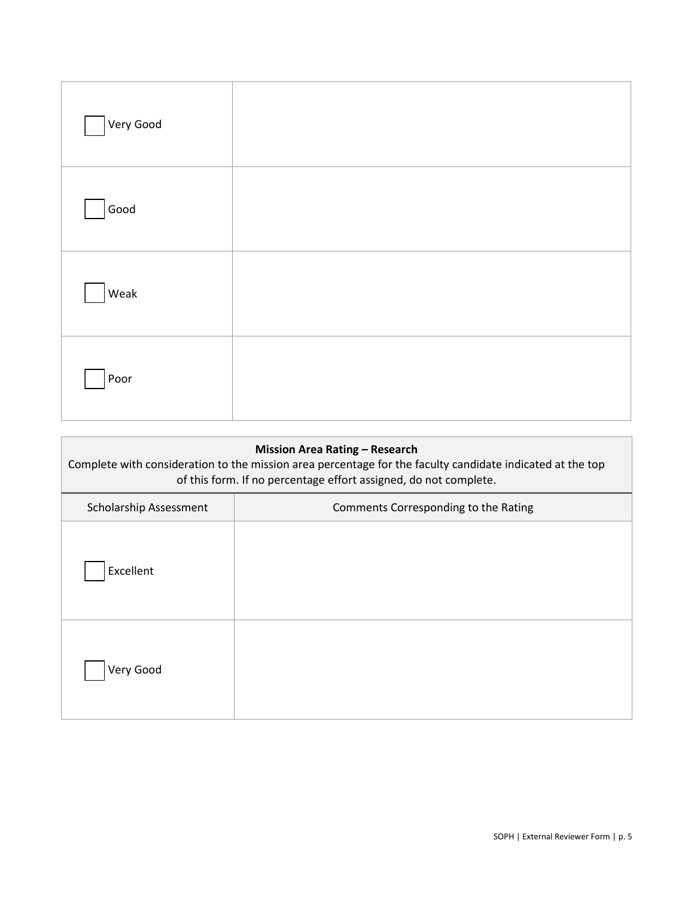| Very Good |  |
|-----------|--|
| Good      |  |
| Weak      |  |
| Poor      |  |

| <b>Mission Area Rating - Research</b><br>Complete with consideration to the mission area percentage for the faculty candidate indicated at the top<br>of this form. If no percentage effort assigned, do not complete. |                                      |  |
|------------------------------------------------------------------------------------------------------------------------------------------------------------------------------------------------------------------------|--------------------------------------|--|
| Scholarship Assessment                                                                                                                                                                                                 | Comments Corresponding to the Rating |  |
| Excellent                                                                                                                                                                                                              |                                      |  |
| Very Good                                                                                                                                                                                                              |                                      |  |